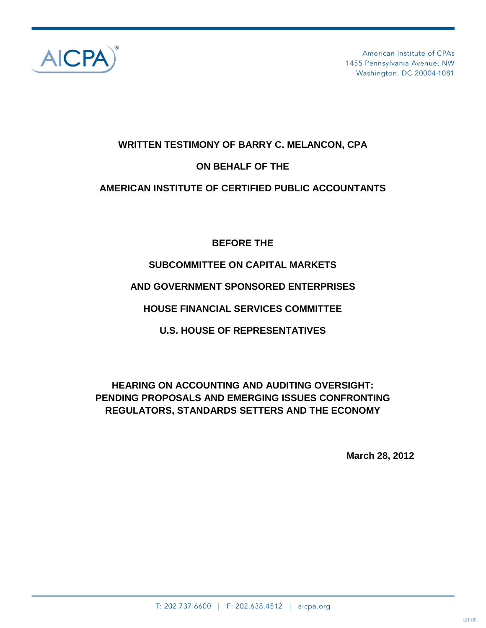

American Institute of CPAs 1455 Pennsylvania Avenue, NW Washington, DC 20004-1081

#### **WRITTEN TESTIMONY OF BARRY C. MELANCON, CPA**

#### **ON BEHALF OF THE**

#### **AMERICAN INSTITUTE OF CERTIFIED PUBLIC ACCOUNTANTS**

**BEFORE THE**

# **SUBCOMMITTEE ON CAPITAL MARKETS**

# **AND GOVERNMENT SPONSORED ENTERPRISES**

**HOUSE FINANCIAL SERVICES COMMITTEE**

**U.S. HOUSE OF REPRESENTATIVES**

# **HEARING ON ACCOUNTING AND AUDITING OVERSIGHT: PENDING PROPOSALS AND EMERGING ISSUES CONFRONTING REGULATORS, STANDARDS SETTERS AND THE ECONOMY**

**March 28, 2012**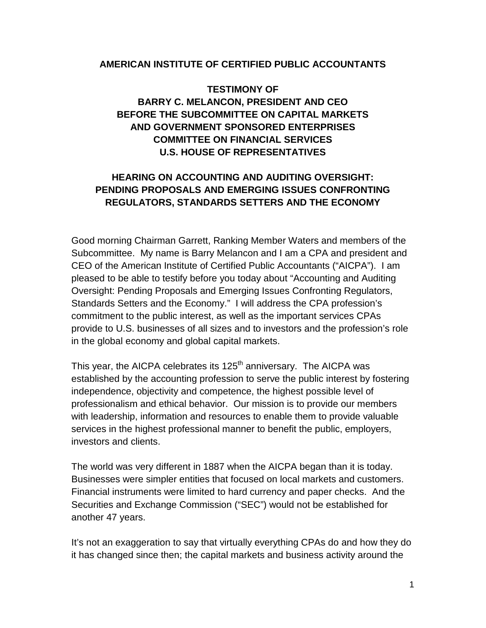#### **AMERICAN INSTITUTE OF CERTIFIED PUBLIC ACCOUNTANTS**

# **TESTIMONY OF BARRY C. MELANCON, PRESIDENT AND CEO BEFORE THE SUBCOMMITTEE ON CAPITAL MARKETS AND GOVERNMENT SPONSORED ENTERPRISES COMMITTEE ON FINANCIAL SERVICES U.S. HOUSE OF REPRESENTATIVES**

# **HEARING ON ACCOUNTING AND AUDITING OVERSIGHT: PENDING PROPOSALS AND EMERGING ISSUES CONFRONTING REGULATORS, STANDARDS SETTERS AND THE ECONOMY**

Good morning Chairman Garrett, Ranking Member Waters and members of the Subcommittee. My name is Barry Melancon and I am a CPA and president and CEO of the American Institute of Certified Public Accountants ("AICPA"). I am pleased to be able to testify before you today about "Accounting and Auditing Oversight: Pending Proposals and Emerging Issues Confronting Regulators, Standards Setters and the Economy." I will address the CPA profession's commitment to the public interest, as well as the important services CPAs provide to U.S. businesses of all sizes and to investors and the profession's role in the global economy and global capital markets.

This year, the AICPA celebrates its 125<sup>th</sup> anniversary. The AICPA was established by the accounting profession to serve the public interest by fostering independence, objectivity and competence, the highest possible level of professionalism and ethical behavior. Our mission is to provide our members with leadership, information and resources to enable them to provide valuable services in the highest professional manner to benefit the public, employers, investors and clients.

The world was very different in 1887 when the AICPA began than it is today. Businesses were simpler entities that focused on local markets and customers. Financial instruments were limited to hard currency and paper checks. And the Securities and Exchange Commission ("SEC") would not be established for another 47 years.

It's not an exaggeration to say that virtually everything CPAs do and how they do it has changed since then; the capital markets and business activity around the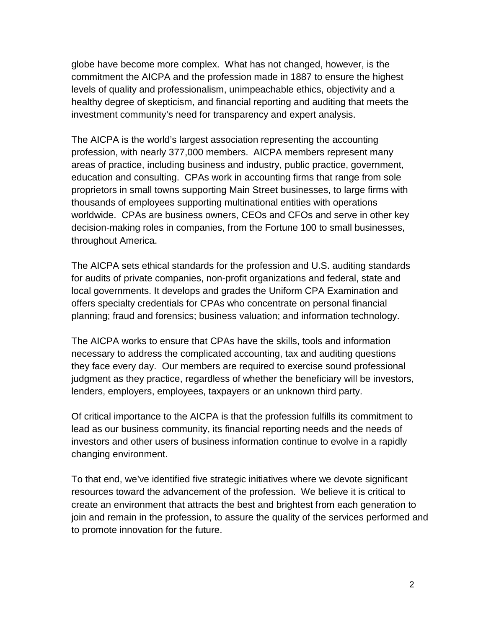globe have become more complex. What has not changed, however, is the commitment the AICPA and the profession made in 1887 to ensure the highest levels of quality and professionalism, unimpeachable ethics, objectivity and a healthy degree of skepticism, and financial reporting and auditing that meets the investment community's need for transparency and expert analysis.

The AICPA is the world's largest association representing the accounting profession, with nearly 377,000 members. AICPA members represent many areas of practice, including business and industry, public practice, government, education and consulting. CPAs work in accounting firms that range from sole proprietors in small towns supporting Main Street businesses, to large firms with thousands of employees supporting multinational entities with operations worldwide. CPAs are business owners, CEOs and CFOs and serve in other key decision-making roles in companies, from the Fortune 100 to small businesses, throughout America.

The AICPA sets ethical standards for the profession and U.S. auditing standards for audits of private companies, non-profit organizations and federal, state and local governments. It develops and grades the Uniform CPA Examination and offers specialty credentials for CPAs who concentrate on personal financial planning; fraud and forensics; business valuation; and information technology.

The AICPA works to ensure that CPAs have the skills, tools and information necessary to address the complicated accounting, tax and auditing questions they face every day. Our members are required to exercise sound professional judgment as they practice, regardless of whether the beneficiary will be investors, lenders, employers, employees, taxpayers or an unknown third party.

Of critical importance to the AICPA is that the profession fulfills its commitment to lead as our business community, its financial reporting needs and the needs of investors and other users of business information continue to evolve in a rapidly changing environment.

To that end, we've identified five strategic initiatives where we devote significant resources toward the advancement of the profession. We believe it is critical to create an environment that attracts the best and brightest from each generation to join and remain in the profession, to assure the quality of the services performed and to promote innovation for the future.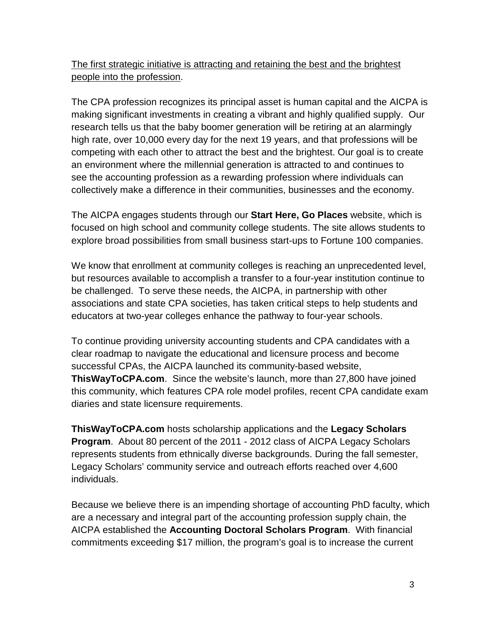The first strategic initiative is attracting and retaining the best and the brightest people into the profession.

The CPA profession recognizes its principal asset is human capital and the AICPA is making significant investments in creating a vibrant and highly qualified supply. Our research tells us that the baby boomer generation will be retiring at an alarmingly high rate, over 10,000 every day for the next 19 years, and that professions will be competing with each other to attract the best and the brightest. Our goal is to create an environment where the millennial generation is attracted to and continues to see the accounting profession as a rewarding profession where individuals can collectively make a difference in their communities, businesses and the economy.

The AICPA engages students through our **Start Here, Go Places** website, which is focused on high school and community college students. The site allows students to explore broad possibilities from small business start-ups to Fortune 100 companies.

We know that enrollment at community colleges is reaching an unprecedented level, but resources available to accomplish a transfer to a four-year institution continue to be challenged. To serve these needs, the AICPA, in partnership with other associations and state CPA societies, has taken critical steps to help students and educators at two-year colleges enhance the pathway to four-year schools.

To continue providing university accounting students and CPA candidates with a clear roadmap to navigate the educational and licensure process and become successful CPAs, the AICPA launched its community-based website, **ThisWayToCPA.com**. Since the website's launch, more than 27,800 have joined this community, which features CPA role model profiles, recent CPA candidate exam diaries and state licensure requirements.

**ThisWayToCPA.com** hosts scholarship applications and the **Legacy Scholars Program**. About 80 percent of the 2011 - 2012 class of AICPA Legacy Scholars represents students from ethnically diverse backgrounds. During the fall semester, Legacy Scholars' community service and outreach efforts reached over 4,600 individuals.

Because we believe there is an impending shortage of accounting PhD faculty, which are a necessary and integral part of the accounting profession supply chain, the AICPA established the **Accounting Doctoral Scholars Program**. With financial commitments exceeding \$17 million, the program's goal is to increase the current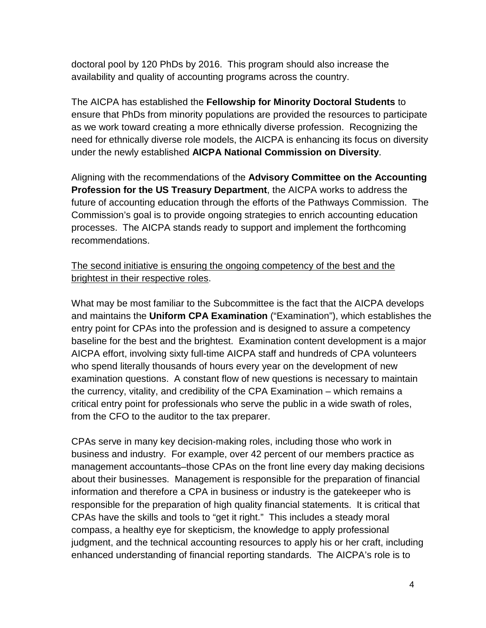doctoral pool by 120 PhDs by 2016. This program should also increase the availability and quality of accounting programs across the country.

The AICPA has established the **Fellowship for Minority Doctoral Students** to ensure that PhDs from minority populations are provided the resources to participate as we work toward creating a more ethnically diverse profession. Recognizing the need for ethnically diverse role models, the AICPA is enhancing its focus on diversity under the newly established **AICPA National Commission on Diversity**.

Aligning with the recommendations of the **Advisory Committee on the Accounting Profession for the US Treasury Department**, the AICPA works to address the future of accounting education through the efforts of the Pathways Commission. The Commission's goal is to provide ongoing strategies to enrich accounting education processes. The AICPA stands ready to support and implement the forthcoming recommendations.

#### The second initiative is ensuring the ongoing competency of the best and the brightest in their respective roles.

What may be most familiar to the Subcommittee is the fact that the AICPA develops and maintains the **Uniform CPA Examination** ("Examination"), which establishes the entry point for CPAs into the profession and is designed to assure a competency baseline for the best and the brightest. Examination content development is a major AICPA effort, involving sixty full-time AICPA staff and hundreds of CPA volunteers who spend literally thousands of hours every year on the development of new examination questions. A constant flow of new questions is necessary to maintain the currency, vitality, and credibility of the CPA Examination – which remains a critical entry point for professionals who serve the public in a wide swath of roles, from the CFO to the auditor to the tax preparer.

CPAs serve in many key decision-making roles, including those who work in business and industry. For example, over 42 percent of our members practice as management accountants–those CPAs on the front line every day making decisions about their businesses. Management is responsible for the preparation of financial information and therefore a CPA in business or industry is the gatekeeper who is responsible for the preparation of high quality financial statements. It is critical that CPAs have the skills and tools to "get it right." This includes a steady moral compass, a healthy eye for skepticism, the knowledge to apply professional judgment, and the technical accounting resources to apply his or her craft, including enhanced understanding of financial reporting standards. The AICPA's role is to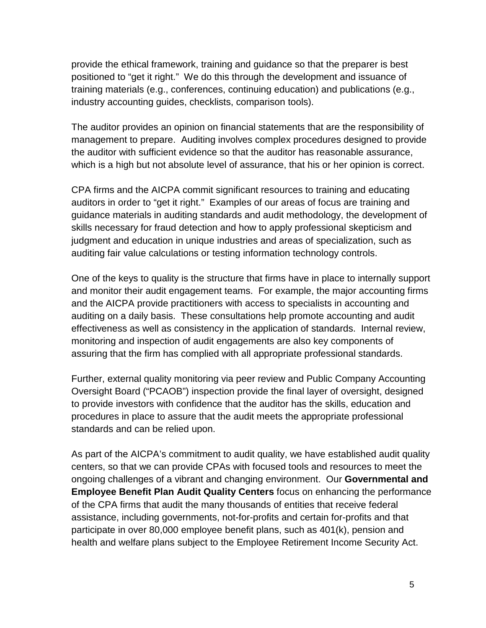provide the ethical framework, training and guidance so that the preparer is best positioned to "get it right." We do this through the development and issuance of training materials (e.g., conferences, continuing education) and publications (e.g., industry accounting guides, checklists, comparison tools).

The auditor provides an opinion on financial statements that are the responsibility of management to prepare. Auditing involves complex procedures designed to provide the auditor with sufficient evidence so that the auditor has reasonable assurance, which is a high but not absolute level of assurance, that his or her opinion is correct.

CPA firms and the AICPA commit significant resources to training and educating auditors in order to "get it right." Examples of our areas of focus are training and guidance materials in auditing standards and audit methodology, the development of skills necessary for fraud detection and how to apply professional skepticism and judgment and education in unique industries and areas of specialization, such as auditing fair value calculations or testing information technology controls.

One of the keys to quality is the structure that firms have in place to internally support and monitor their audit engagement teams. For example, the major accounting firms and the AICPA provide practitioners with access to specialists in accounting and auditing on a daily basis. These consultations help promote accounting and audit effectiveness as well as consistency in the application of standards. Internal review, monitoring and inspection of audit engagements are also key components of assuring that the firm has complied with all appropriate professional standards.

Further, external quality monitoring via peer review and Public Company Accounting Oversight Board ("PCAOB") inspection provide the final layer of oversight, designed to provide investors with confidence that the auditor has the skills, education and procedures in place to assure that the audit meets the appropriate professional standards and can be relied upon.

As part of the AICPA's commitment to audit quality, we have established audit quality centers, so that we can provide CPAs with focused tools and resources to meet the ongoing challenges of a vibrant and changing environment. Our **Governmental and Employee Benefit Plan Audit Quality Centers** focus on enhancing the performance of the CPA firms that audit the many thousands of entities that receive federal assistance, including governments, not-for-profits and certain for-profits and that participate in over 80,000 employee benefit plans, such as 401(k), pension and health and welfare plans subject to the Employee Retirement Income Security Act.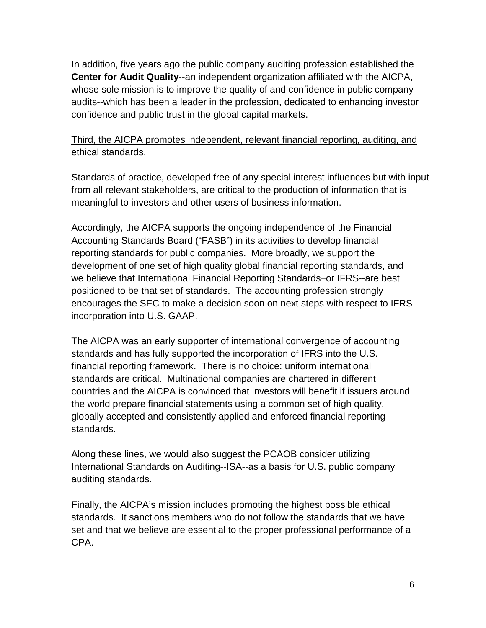In addition, five years ago the public company auditing profession established the **Center for Audit Quality**--an independent organization affiliated with the AICPA, whose sole mission is to improve the quality of and confidence in public company audits--which has been a leader in the profession, dedicated to enhancing investor confidence and public trust in the global capital markets.

## Third, the AICPA promotes independent, relevant financial reporting, auditing, and ethical standards.

Standards of practice, developed free of any special interest influences but with input from all relevant stakeholders, are critical to the production of information that is meaningful to investors and other users of business information.

Accordingly, the AICPA supports the ongoing independence of the Financial Accounting Standards Board ("FASB") in its activities to develop financial reporting standards for public companies. More broadly, we support the development of one set of high quality global financial reporting standards, and we believe that International Financial Reporting Standards–or IFRS--are best positioned to be that set of standards. The accounting profession strongly encourages the SEC to make a decision soon on next steps with respect to IFRS incorporation into U.S. GAAP.

The AICPA was an early supporter of international convergence of accounting standards and has fully supported the incorporation of IFRS into the U.S. financial reporting framework. There is no choice: uniform international standards are critical. Multinational companies are chartered in different countries and the AICPA is convinced that investors will benefit if issuers around the world prepare financial statements using a common set of high quality, globally accepted and consistently applied and enforced financial reporting standards.

Along these lines, we would also suggest the PCAOB consider utilizing International Standards on Auditing--ISA--as a basis for U.S. public company auditing standards.

Finally, the AICPA's mission includes promoting the highest possible ethical standards. It sanctions members who do not follow the standards that we have set and that we believe are essential to the proper professional performance of a CPA.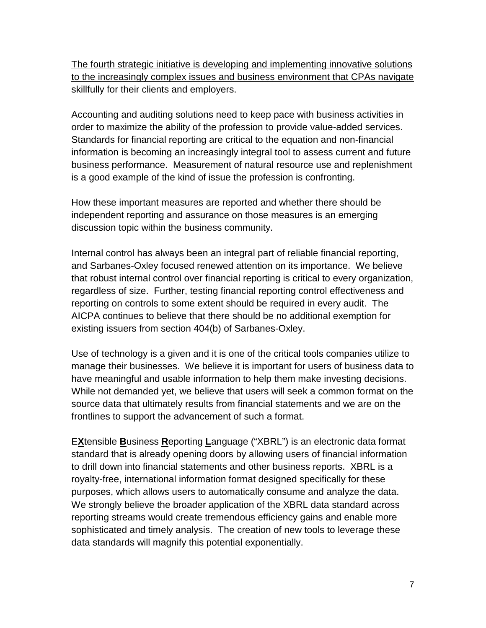The fourth strategic initiative is developing and implementing innovative solutions to the increasingly complex issues and business environment that CPAs navigate skillfully for their clients and employers.

Accounting and auditing solutions need to keep pace with business activities in order to maximize the ability of the profession to provide value-added services. Standards for financial reporting are critical to the equation and non-financial information is becoming an increasingly integral tool to assess current and future business performance. Measurement of natural resource use and replenishment is a good example of the kind of issue the profession is confronting.

How these important measures are reported and whether there should be independent reporting and assurance on those measures is an emerging discussion topic within the business community.

Internal control has always been an integral part of reliable financial reporting, and Sarbanes-Oxley focused renewed attention on its importance. We believe that robust internal control over financial reporting is critical to every organization, regardless of size. Further, testing financial reporting control effectiveness and reporting on controls to some extent should be required in every audit. The AICPA continues to believe that there should be no additional exemption for existing issuers from section 404(b) of Sarbanes-Oxley.

Use of technology is a given and it is one of the critical tools companies utilize to manage their businesses. We believe it is important for users of business data to have meaningful and usable information to help them make investing decisions. While not demanded yet, we believe that users will seek a common format on the source data that ultimately results from financial statements and we are on the frontlines to support the advancement of such a format.

E**X**tensible **B**usiness **R**eporting **L**anguage ("XBRL") is an electronic data format standard that is already opening doors by allowing users of financial information to drill down into financial statements and other business reports. XBRL is a royalty-free, international information format designed specifically for these purposes, which allows users to automatically consume and analyze the data. We strongly believe the broader application of the XBRL data standard across reporting streams would create tremendous efficiency gains and enable more sophisticated and timely analysis. The creation of new tools to leverage these data standards will magnify this potential exponentially.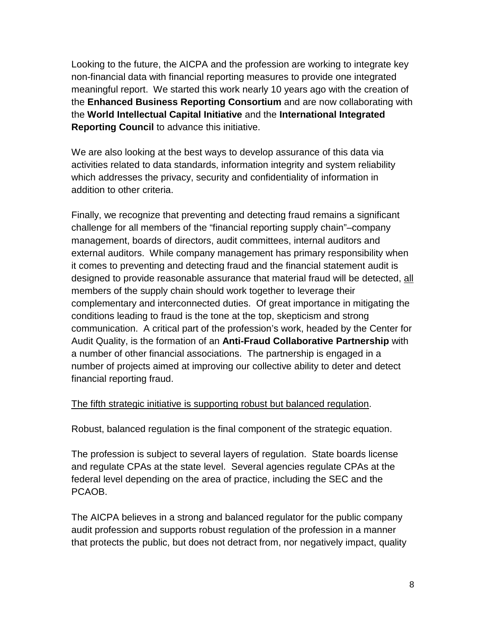Looking to the future, the AICPA and the profession are working to integrate key non-financial data with financial reporting measures to provide one integrated meaningful report. We started this work nearly 10 years ago with the creation of the **Enhanced Business Reporting Consortium** and are now collaborating with the **World Intellectual Capital Initiative** and the **International Integrated Reporting Council** to advance this initiative.

We are also looking at the best ways to develop assurance of this data via activities related to data standards, information integrity and system reliability which addresses the privacy, security and confidentiality of information in addition to other criteria.

Finally, we recognize that preventing and detecting fraud remains a significant challenge for all members of the "financial reporting supply chain"–company management, boards of directors, audit committees, internal auditors and external auditors. While company management has primary responsibility when it comes to preventing and detecting fraud and the financial statement audit is designed to provide reasonable assurance that material fraud will be detected, all members of the supply chain should work together to leverage their complementary and interconnected duties. Of great importance in mitigating the conditions leading to fraud is the tone at the top, skepticism and strong communication. A critical part of the profession's work, headed by the Center for Audit Quality, is the formation of an **Anti-Fraud Collaborative Partnership** with a number of other financial associations. The partnership is engaged in a number of projects aimed at improving our collective ability to deter and detect financial reporting fraud.

#### The fifth strategic initiative is supporting robust but balanced regulation.

Robust, balanced regulation is the final component of the strategic equation.

The profession is subject to several layers of regulation. State boards license and regulate CPAs at the state level. Several agencies regulate CPAs at the federal level depending on the area of practice, including the SEC and the PCAOB.

The AICPA believes in a strong and balanced regulator for the public company audit profession and supports robust regulation of the profession in a manner that protects the public, but does not detract from, nor negatively impact, quality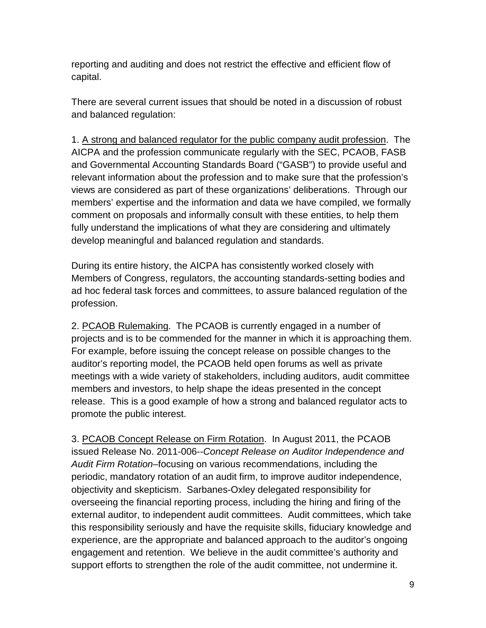reporting and auditing and does not restrict the effective and efficient flow of capital.

There are several current issues that should be noted in a discussion of robust and balanced regulation:

1. A strong and balanced regulator for the public company audit profession. The AICPA and the profession communicate regularly with the SEC, PCAOB, FASB and Governmental Accounting Standards Board ("GASB") to provide useful and relevant information about the profession and to make sure that the profession's views are considered as part of these organizations' deliberations. Through our members' expertise and the information and data we have compiled, we formally comment on proposals and informally consult with these entities, to help them fully understand the implications of what they are considering and ultimately develop meaningful and balanced regulation and standards.

During its entire history, the AICPA has consistently worked closely with Members of Congress, regulators, the accounting standards-setting bodies and ad hoc federal task forces and committees, to assure balanced regulation of the profession.

2. PCAOB Rulemaking. The PCAOB is currently engaged in a number of projects and is to be commended for the manner in which it is approaching them. For example, before issuing the concept release on possible changes to the auditor's reporting model, the PCAOB held open forums as well as private meetings with a wide variety of stakeholders, including auditors, audit committee members and investors, to help shape the ideas presented in the concept release. This is a good example of how a strong and balanced regulator acts to promote the public interest.

3. PCAOB Concept Release on Firm Rotation. In August 2011, the PCAOB issued Release No. 2011-006--*Concept Release on Auditor Independence and Audit Firm Rotation–*focusing on various recommendations, including the periodic, mandatory rotation of an audit firm, to improve auditor independence, objectivity and skepticism. Sarbanes-Oxley delegated responsibility for overseeing the financial reporting process, including the hiring and firing of the external auditor, to independent audit committees. Audit committees, which take this responsibility seriously and have the requisite skills, fiduciary knowledge and experience, are the appropriate and balanced approach to the auditor's ongoing engagement and retention. We believe in the audit committee's authority and support efforts to strengthen the role of the audit committee, not undermine it.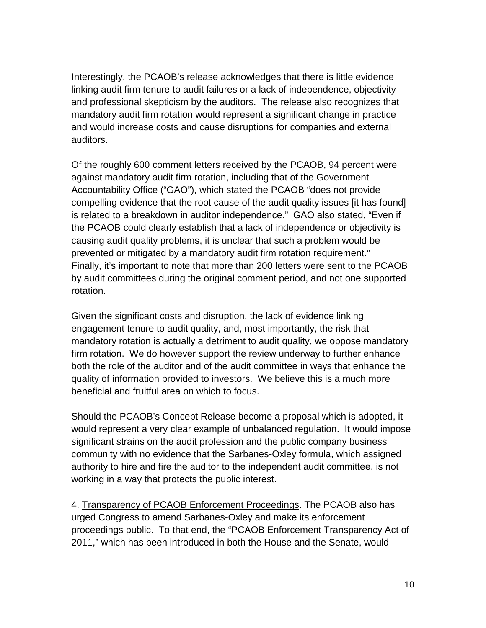Interestingly, the PCAOB's release acknowledges that there is little evidence linking audit firm tenure to audit failures or a lack of independence, objectivity and professional skepticism by the auditors. The release also recognizes that mandatory audit firm rotation would represent a significant change in practice and would increase costs and cause disruptions for companies and external auditors.

Of the roughly 600 comment letters received by the PCAOB, 94 percent were against mandatory audit firm rotation, including that of the Government Accountability Office ("GAO"), which stated the PCAOB "does not provide compelling evidence that the root cause of the audit quality issues [it has found] is related to a breakdown in auditor independence." GAO also stated, "Even if the PCAOB could clearly establish that a lack of independence or objectivity is causing audit quality problems, it is unclear that such a problem would be prevented or mitigated by a mandatory audit firm rotation requirement." Finally, it's important to note that more than 200 letters were sent to the PCAOB by audit committees during the original comment period, and not one supported rotation.

Given the significant costs and disruption, the lack of evidence linking engagement tenure to audit quality, and, most importantly, the risk that mandatory rotation is actually a detriment to audit quality, we oppose mandatory firm rotation. We do however support the review underway to further enhance both the role of the auditor and of the audit committee in ways that enhance the quality of information provided to investors. We believe this is a much more beneficial and fruitful area on which to focus.

Should the PCAOB's Concept Release become a proposal which is adopted, it would represent a very clear example of unbalanced regulation. It would impose significant strains on the audit profession and the public company business community with no evidence that the Sarbanes-Oxley formula, which assigned authority to hire and fire the auditor to the independent audit committee, is not working in a way that protects the public interest.

4. Transparency of PCAOB Enforcement Proceedings. The PCAOB also has urged Congress to amend Sarbanes-Oxley and make its enforcement proceedings public. To that end, the "PCAOB Enforcement Transparency Act of 2011," which has been introduced in both the House and the Senate, would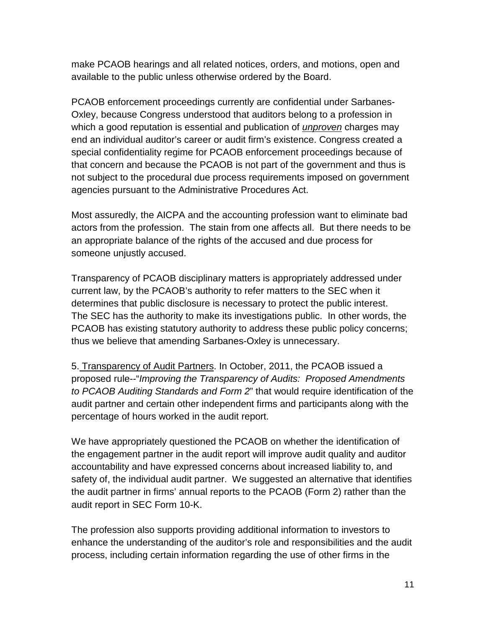make PCAOB hearings and all related notices, orders, and motions, open and available to the public unless otherwise ordered by the Board.

PCAOB enforcement proceedings currently are confidential under Sarbanes-Oxley, because Congress understood that auditors belong to a profession in which a good reputation is essential and publication of *unproven* charges may end an individual auditor's career or audit firm's existence. Congress created a special confidentiality regime for PCAOB enforcement proceedings because of that concern and because the PCAOB is not part of the government and thus is not subject to the procedural due process requirements imposed on government agencies pursuant to the Administrative Procedures Act.

Most assuredly, the AICPA and the accounting profession want to eliminate bad actors from the profession. The stain from one affects all. But there needs to be an appropriate balance of the rights of the accused and due process for someone unjustly accused.

Transparency of PCAOB disciplinary matters is appropriately addressed under current law, by the PCAOB's authority to refer matters to the SEC when it determines that public disclosure is necessary to protect the public interest. The SEC has the authority to make its investigations public. In other words, the PCAOB has existing statutory authority to address these public policy concerns; thus we believe that amending Sarbanes-Oxley is unnecessary.

5. Transparency of Audit Partners. In October, 2011, the PCAOB issued a proposed rule--"*Improving the Transparency of Audits: Proposed Amendments to PCAOB Auditing Standards and Form 2*" that would require identification of the audit partner and certain other independent firms and participants along with the percentage of hours worked in the audit report.

We have appropriately questioned the PCAOB on whether the identification of the engagement partner in the audit report will improve audit quality and auditor accountability and have expressed concerns about increased liability to, and safety of, the individual audit partner. We suggested an alternative that identifies the audit partner in firms' annual reports to the PCAOB (Form 2) rather than the audit report in SEC Form 10-K.

The profession also supports providing additional information to investors to enhance the understanding of the auditor's role and responsibilities and the audit process, including certain information regarding the use of other firms in the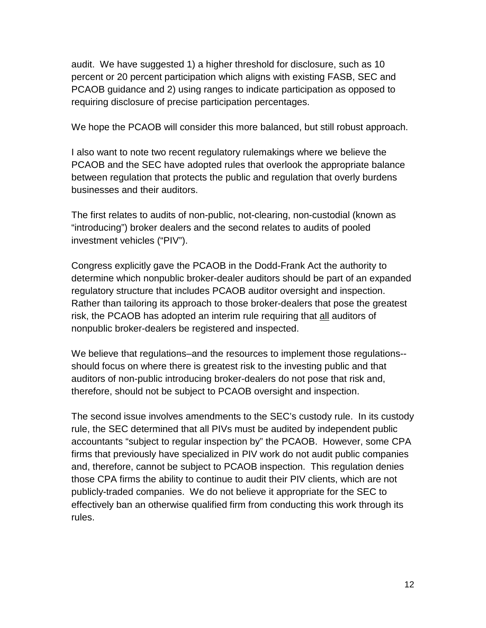audit. We have suggested 1) a higher threshold for disclosure, such as 10 percent or 20 percent participation which aligns with existing FASB, SEC and PCAOB guidance and 2) using ranges to indicate participation as opposed to requiring disclosure of precise participation percentages.

We hope the PCAOB will consider this more balanced, but still robust approach.

I also want to note two recent regulatory rulemakings where we believe the PCAOB and the SEC have adopted rules that overlook the appropriate balance between regulation that protects the public and regulation that overly burdens businesses and their auditors.

The first relates to audits of non-public, not-clearing, non-custodial (known as "introducing") broker dealers and the second relates to audits of pooled investment vehicles ("PIV").

Congress explicitly gave the PCAOB in the Dodd-Frank Act the authority to determine which nonpublic broker-dealer auditors should be part of an expanded regulatory structure that includes PCAOB auditor oversight and inspection. Rather than tailoring its approach to those broker-dealers that pose the greatest risk, the PCAOB has adopted an interim rule requiring that all auditors of nonpublic broker-dealers be registered and inspected.

We believe that regulations–and the resources to implement those regulations- should focus on where there is greatest risk to the investing public and that auditors of non-public introducing broker-dealers do not pose that risk and, therefore, should not be subject to PCAOB oversight and inspection.

The second issue involves amendments to the SEC's custody rule. In its custody rule, the SEC determined that all PIVs must be audited by independent public accountants "subject to regular inspection by" the PCAOB. However, some CPA firms that previously have specialized in PIV work do not audit public companies and, therefore, cannot be subject to PCAOB inspection. This regulation denies those CPA firms the ability to continue to audit their PIV clients, which are not publicly-traded companies. We do not believe it appropriate for the SEC to effectively ban an otherwise qualified firm from conducting this work through its rules.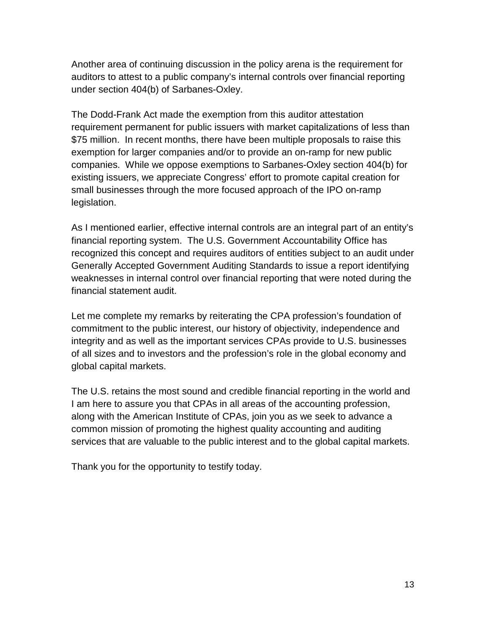Another area of continuing discussion in the policy arena is the requirement for auditors to attest to a public company's internal controls over financial reporting under section 404(b) of Sarbanes-Oxley.

The Dodd-Frank Act made the exemption from this auditor attestation requirement permanent for public issuers with market capitalizations of less than \$75 million. In recent months, there have been multiple proposals to raise this exemption for larger companies and/or to provide an on-ramp for new public companies. While we oppose exemptions to Sarbanes-Oxley section 404(b) for existing issuers, we appreciate Congress' effort to promote capital creation for small businesses through the more focused approach of the IPO on-ramp legislation.

As I mentioned earlier, effective internal controls are an integral part of an entity's financial reporting system. The U.S. Government Accountability Office has recognized this concept and requires auditors of entities subject to an audit under Generally Accepted Government Auditing Standards to issue a report identifying weaknesses in internal control over financial reporting that were noted during the financial statement audit.

Let me complete my remarks by reiterating the CPA profession's foundation of commitment to the public interest, our history of objectivity, independence and integrity and as well as the important services CPAs provide to U.S. businesses of all sizes and to investors and the profession's role in the global economy and global capital markets.

The U.S. retains the most sound and credible financial reporting in the world and I am here to assure you that CPAs in all areas of the accounting profession, along with the American Institute of CPAs, join you as we seek to advance a common mission of promoting the highest quality accounting and auditing services that are valuable to the public interest and to the global capital markets.

Thank you for the opportunity to testify today.